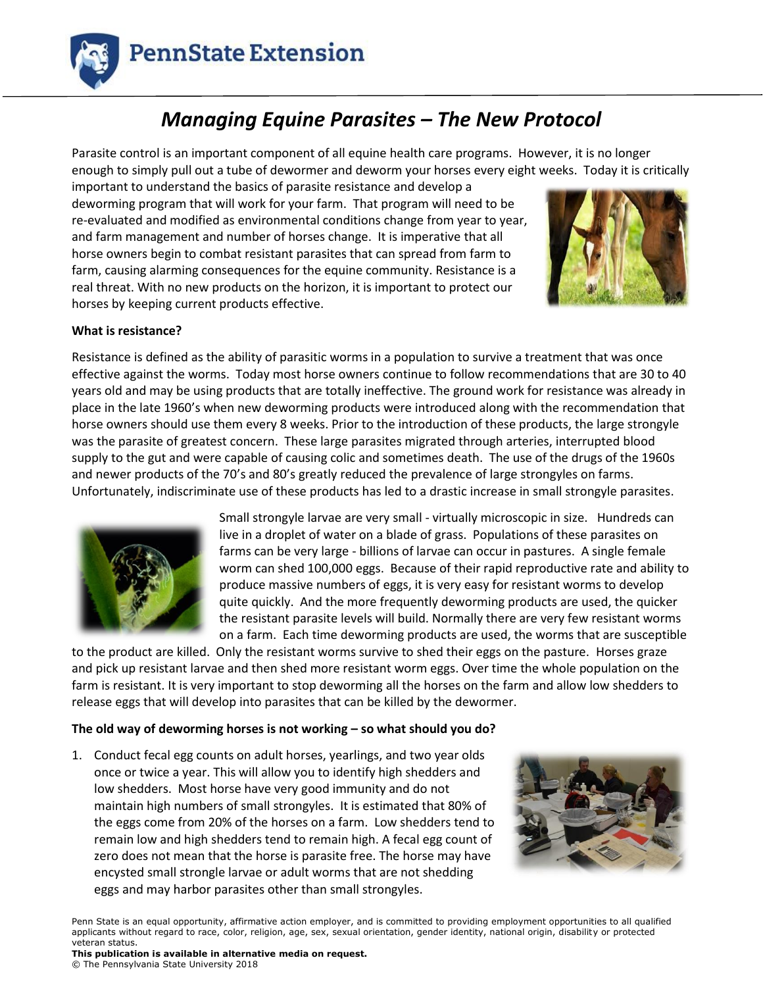

# *Managing Equine Parasites – The New Protocol*

Parasite control is an important component of all equine health care programs. However, it is no longer enough to simply pull out a tube of dewormer and deworm your horses every eight weeks. Today it is critically

important to understand the basics of parasite resistance and develop a deworming program that will work for your farm. That program will need to be re-evaluated and modified as environmental conditions change from year to year, and farm management and number of horses change. It is imperative that all horse owners begin to combat resistant parasites that can spread from farm to farm, causing alarming consequences for the equine community. Resistance is a real threat. With no new products on the horizon, it is important to protect our horses by keeping current products effective.



# **What is resistance?**

Resistance is defined as the ability of parasitic worms in a population to survive a treatment that was once effective against the worms. Today most horse owners continue to follow recommendations that are 30 to 40 years old and may be using products that are totally ineffective. The ground work for resistance was already in place in the late 1960's when new deworming products were introduced along with the recommendation that horse owners should use them every 8 weeks. Prior to the introduction of these products, the large strongyle was the parasite of greatest concern. These large parasites migrated through arteries, interrupted blood supply to the gut and were capable of causing colic and sometimes death. The use of the drugs of the 1960s and newer products of the 70's and 80's greatly reduced the prevalence of large strongyles on farms. Unfortunately, indiscriminate use of these products has led to a drastic increase in small strongyle parasites.



Small strongyle larvae are very small - virtually microscopic in size. Hundreds can live in a droplet of water on a blade of grass. Populations of these parasites on farms can be very large - billions of larvae can occur in pastures. A single female worm can shed 100,000 eggs. Because of their rapid reproductive rate and ability to produce massive numbers of eggs, it is very easy for resistant worms to develop quite quickly. And the more frequently deworming products are used, the quicker the resistant parasite levels will build. Normally there are very few resistant worms on a farm. Each time deworming products are used, the worms that are susceptible

to the product are killed. Only the resistant worms survive to shed their eggs on the pasture. Horses graze and pick up resistant larvae and then shed more resistant worm eggs. Over time the whole population on the farm is resistant. It is very important to stop deworming all the horses on the farm and allow low shedders to release eggs that will develop into parasites that can be killed by the dewormer.

# **The old way of deworming horses is not working – so what should you do?**

1. Conduct fecal egg counts on adult horses, yearlings, and two year olds once or twice a year. This will allow you to identify high shedders and low shedders. Most horse have very good immunity and do not maintain high numbers of small strongyles. It is estimated that 80% of the eggs come from 20% of the horses on a farm. Low shedders tend to remain low and high shedders tend to remain high. A fecal egg count of zero does not mean that the horse is parasite free. The horse may have encysted small strongle larvae or adult worms that are not shedding eggs and may harbor parasites other than small strongyles.



Penn State is an equal opportunity, affirmative action employer, and is committed to providing employment opportunities to all qualified applicants without regard to race, color, religion, age, sex, sexual orientation, gender identity, national origin, disability or protected veteran status.